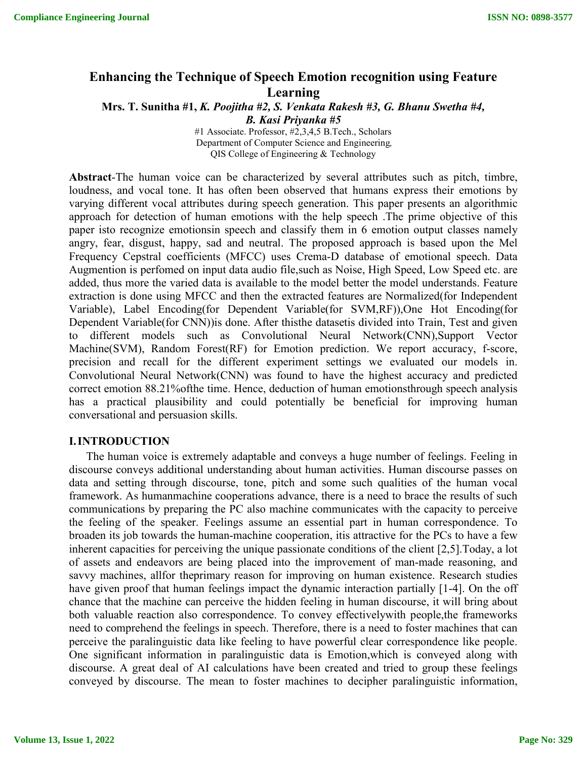# **Enhancing the Technique of Speech Emotion recognition using Feature Learning**

**Mrs. T. Sunitha #1,** *K. Poojitha #2, S. Venkata Rakesh #3, G. Bhanu Swetha #4, B. Kasi Priyanka #5*

> #1 Associate. Professor, #2,3,4,5 B.Tech., Scholars Department of Computer Science and Engineering*,* QIS College of Engineering & Technology

**Abstract**-The human voice can be characterized by several attributes such as pitch, timbre, loudness, and vocal tone. It has often been observed that humans express their emotions by varying different vocal attributes during speech generation. This paper presents an algorithmic approach for detection of human emotions with the help speech .The prime objective of this paper isto recognize emotionsin speech and classify them in 6 emotion output classes namely angry, fear, disgust, happy, sad and neutral. The proposed approach is based upon the Mel Frequency Cepstral coefficients (MFCC) uses Crema-D database of emotional speech. Data Augmention is perfomed on input data audio file,such as Noise, High Speed, Low Speed etc. are added, thus more the varied data is available to the model better the model understands. Feature extraction is done using MFCC and then the extracted features are Normalized(for Independent Variable), Label Encoding(for Dependent Variable(for SVM,RF)),One Hot Encoding(for Dependent Variable(for CNN))is done. After thisthe datasetis divided into Train, Test and given to different models such as Convolutional Neural Network(CNN),Support Vector Machine(SVM), Random Forest(RF) for Emotion prediction. We report accuracy, f-score, precision and recall for the different experiment settings we evaluated our models in. Convolutional Neural Network(CNN) was found to have the highest accuracy and predicted correct emotion 88.21%ofthe time. Hence, deduction of human emotionsthrough speech analysis has a practical plausibility and could potentially be beneficial for improving human conversational and persuasion skills.

#### **I.INTRODUCTION**

The human voice is extremely adaptable and conveys a huge number of feelings. Feeling in discourse conveys additional understanding about human activities. Human discourse passes on data and setting through discourse, tone, pitch and some such qualities of the human vocal framework. As humanmachine cooperations advance, there is a need to brace the results of such communications by preparing the PC also machine communicates with the capacity to perceive the feeling of the speaker. Feelings assume an essential part in human correspondence. To broaden its job towards the human-machine cooperation, itis attractive for the PCs to have a few inherent capacities for perceiving the unique passionate conditions of the client [2,5].Today, a lot of assets and endeavors are being placed into the improvement of man-made reasoning, and savvy machines, allfor theprimary reason for improving on human existence. Research studies have given proof that human feelings impact the dynamic interaction partially [1-4]. On the off chance that the machine can perceive the hidden feeling in human discourse, it will bring about both valuable reaction also correspondence. To convey effectivelywith people,the frameworks need to comprehend the feelings in speech. Therefore, there is a need to foster machines that can perceive the paralinguistic data like feeling to have powerful clear correspondence like people. One significant information in paralinguistic data is Emotion,which is conveyed along with discourse. A great deal of AI calculations have been created and tried to group these feelings conveyed by discourse. The mean to foster machines to decipher paralinguistic information,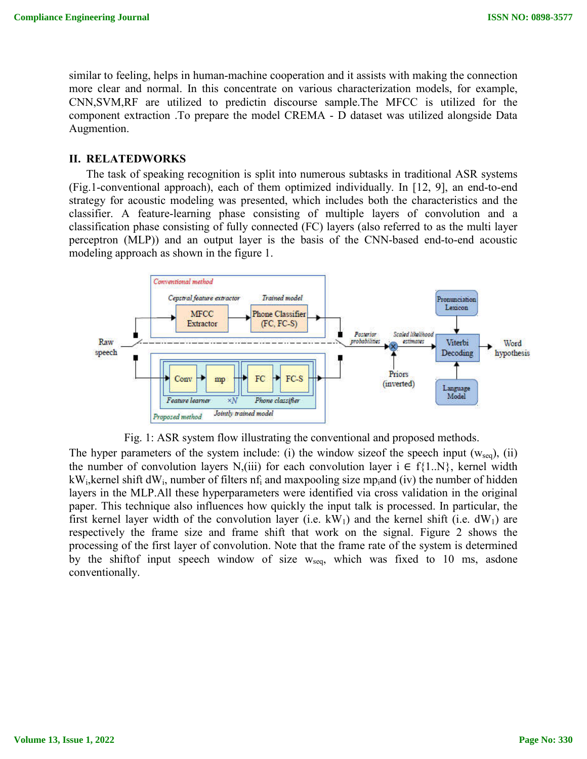similar to feeling, helps in human-machine cooperation and it assists with making the connection more clear and normal. In this concentrate on various characterization models, for example, CNN,SVM,RF are utilized to predictin discourse sample.The MFCC is utilized for the component extraction .To prepare the model CREMA - D dataset was utilized alongside Data Augmention.

## **II. RELATEDWORKS**

The task of speaking recognition is split into numerous subtasks in traditional ASR systems (Fig.1-conventional approach), each of them optimized individually. In [12, 9], an end-to-end strategy for acoustic modeling was presented, which includes both the characteristics and the classifier. A feature-learning phase consisting of multiple layers of convolution and a classification phase consisting of fully connected (FC) layers (also referred to as the multi layer perceptron (MLP)) and an output layer is the basis of the CNN-based end-to-end acoustic modeling approach as shown in the figure 1.





The hyper parameters of the system include: (i) the window size of the speech input  $(w_{seq})$ , (ii) the number of convolution layers N,(iii) for each convolution layer  $i \in f\{1..N\}$ , kernel width  $kW_i$ , kernel shift dW<sub>i</sub>, number of filters nf<sub>i</sub> and maxpooling size mp<sub>i</sub>and (iv) the number of hidden layers in the MLP.All these hyperparameters were identified via cross validation in the original paper. This technique also influences how quickly the input talk is processed. In particular, the first kernel layer width of the convolution layer (i.e.  $kW_1$ ) and the kernel shift (i.e.  $dW_1$ ) are respectively the frame size and frame shift that work on the signal. Figure 2 shows the processing of the first layer of convolution. Note that the frame rate of the system is determined by the shiftof input speech window of size  $w_{sea}$ , which was fixed to 10 ms, asdone conventionally.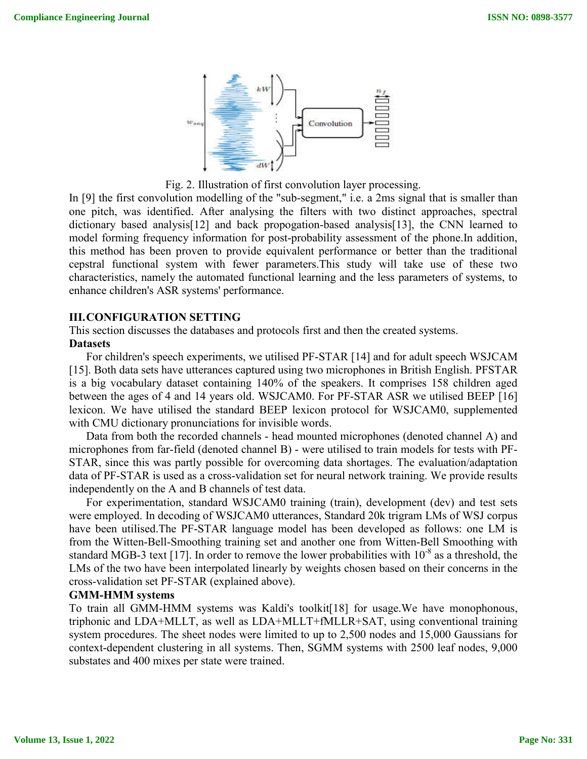

Fig. 2. Illustration of first convolution layer processing.

In [9] the first convolution modelling of the "sub-segment," i.e. a 2ms signal that is smaller than one pitch, was identified. After analysing the filters with two distinct approaches, spectral dictionary based analysis[12] and back propogation-based analysis[13], the CNN learned to model forming frequency information for post-probability assessment of the phone.In addition, this method has been proven to provide equivalent performance or better than the traditional cepstral functional system with fewer parameters.This study will take use of these two characteristics, namely the automated functional learning and the less parameters of systems, to enhance children's ASR systems' performance.

## **III.CONFIGURATION SETTING**

This section discusses the databases and protocols first and then the created systems. **Datasets**

For children's speech experiments, we utilised PF-STAR [14] and for adult speech WSJCAM [15]. Both data sets have utterances captured using two microphones in British English. PFSTAR is a big vocabulary dataset containing 140% of the speakers. It comprises 158 children aged between the ages of 4 and 14 years old. WSJCAM0. For PF-STAR ASR we utilised BEEP [16] lexicon. We have utilised the standard BEEP lexicon protocol for WSJCAM0, supplemented with CMU dictionary pronunciations for invisible words.

Data from both the recorded channels - head mounted microphones (denoted channel A) and microphones from far-field (denoted channel B) - were utilised to train models for tests with PF-STAR, since this was partly possible for overcoming data shortages. The evaluation/adaptation data of PF-STAR is used as a cross-validation set for neural network training. We provide results independently on the A and B channels of test data.

For experimentation, standard WSJCAM0 training (train), development (dev) and test sets were employed. In decoding of WSJCAM0 utterances, Standard 20k trigram LMs of WSJ corpus have been utilised.The PF-STAR language model has been developed as follows: one LM is from the Witten-Bell-Smoothing training set and another one from Witten-Bell Smoothing with standard MGB-3 text [17]. In order to remove the lower probabilities with  $10^{-8}$  as a threshold, the LMs of the two have been interpolated linearly by weights chosen based on their concerns in the cross-validation set PF-STAR (explained above).

#### **GMM-HMM systems**

To train all GMM-HMM systems was Kaldi's toolkit[18] for usage.We have monophonous, triphonic and LDA+MLLT, as well as LDA+MLLT+fMLLR+SAT, using conventional training system procedures. The sheet nodes were limited to up to 2,500 nodes and 15,000 Gaussians for context-dependent clustering in all systems. Then, SGMM systems with 2500 leaf nodes, 9,000 substates and 400 mixes per state were trained.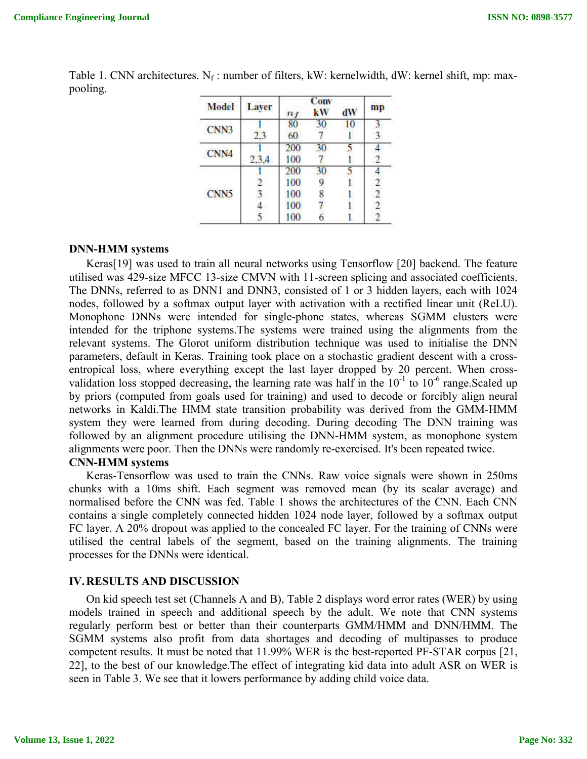| <b>Model</b>     | <b>Layer</b> | $\boldsymbol{n_f}$ | Conv<br>kW | dW | mp |
|------------------|--------------|--------------------|------------|----|----|
| CNN3             |              | 80                 | 30         | 10 |    |
|                  | 2.3          | 60                 |            |    |    |
| CNN4             |              | 200                | 30         |    |    |
|                  |              | 100                |            |    |    |
|                  |              | 200                | 30         |    |    |
|                  |              | 100                |            |    |    |
| CNN <sub>5</sub> |              | 100                | 8          |    |    |
|                  |              | 100                |            |    |    |
|                  |              | 100                |            |    |    |

Table 1. CNN architectures. N<sub>f</sub>: number of filters, kW: kernelwidth, dW: kernel shift, mp: maxpooling.

### **DNN-HMM systems**

Keras[19] was used to train all neural networks using Tensorflow [20] backend. The feature utilised was 429-size MFCC 13-size CMVN with 11-screen splicing and associated coefficients. The DNNs, referred to as DNN1 and DNN3, consisted of 1 or 3 hidden layers, each with 1024 nodes, followed by a softmax output layer with activation with a rectified linear unit (ReLU). Monophone DNNs were intended for single-phone states, whereas SGMM clusters were intended for the triphone systems.The systems were trained using the alignments from the relevant systems. The Glorot uniform distribution technique was used to initialise the DNN parameters, default in Keras. Training took place on a stochastic gradient descent with a crossentropical loss, where everything except the last layer dropped by 20 percent. When crossvalidation loss stopped decreasing, the learning rate was half in the  $10^{-1}$  to  $10^{-6}$  range. Scaled up by priors (computed from goals used for training) and used to decode or forcibly align neural networks in Kaldi.The HMM state transition probability was derived from the GMM-HMM system they were learned from during decoding. During decoding The DNN training was followed by an alignment procedure utilising the DNN-HMM system, as monophone system alignments were poor. Then the DNNs were randomly re-exercised. It's been repeated twice.

## **CNN-HMM systems**

Keras-Tensorflow was used to train the CNNs. Raw voice signals were shown in 250ms chunks with a 10ms shift. Each segment was removed mean (by its scalar average) and normalised before the CNN was fed. Table 1 shows the architectures of the CNN. Each CNN contains a single completely connected hidden 1024 node layer, followed by a softmax output FC layer. A 20% dropout was applied to the concealed FC layer. For the training of CNNs were utilised the central labels of the segment, based on the training alignments. The training processes for the DNNs were identical.

## **IV.RESULTS AND DISCUSSION**

On kid speech test set (Channels A and B), Table 2 displays word error rates (WER) by using models trained in speech and additional speech by the adult. We note that CNN systems regularly perform best or better than their counterparts GMM/HMM and DNN/HMM. The SGMM systems also profit from data shortages and decoding of multipasses to produce competent results. It must be noted that 11.99% WER is the best-reported PF-STAR corpus [21, 22], to the best of our knowledge.The effect of integrating kid data into adult ASR on WER is seen in Table 3. We see that it lowers performance by adding child voice data.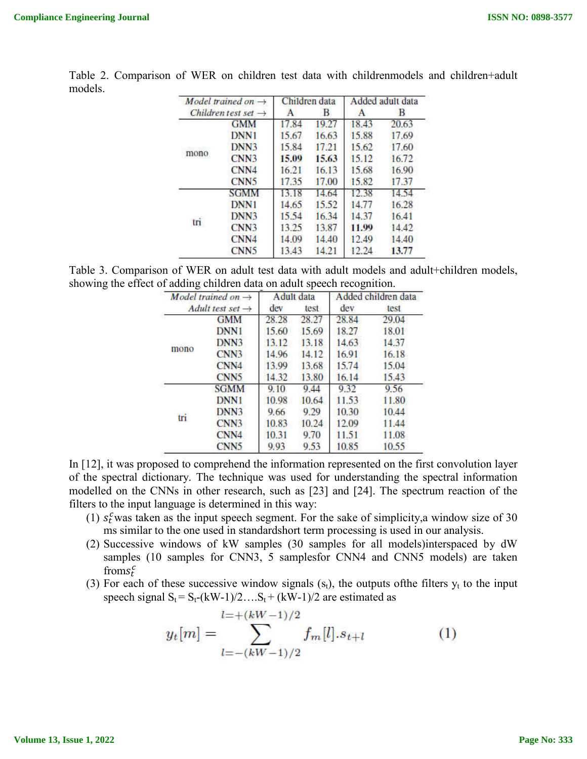| Model trained on $\rightarrow$<br>Children test set $\rightarrow$ |                  | Children data |       | Added adult data |       |
|-------------------------------------------------------------------|------------------|---------------|-------|------------------|-------|
|                                                                   |                  | А             | в     | A                | В     |
| mono                                                              | <b>GMM</b>       | 17.84         | 19.27 | 18.43            | 20.63 |
|                                                                   | <b>DNN1</b>      | 15.67         | 16.63 | 15.88            | 17.69 |
|                                                                   | DNN3             | 15.84         | 17.21 | 15.62            | 17.60 |
|                                                                   | CNN3             | 15.09         | 15.63 | 15.12            | 16.72 |
|                                                                   | CNN4             | 16.21         | 16.13 | 15.68            | 16.90 |
|                                                                   | <b>CNN5</b>      | 17.35         | 17.00 | 15.82            | 17.37 |
| tri                                                               | <b>SGMM</b>      | 13.18         | 14.64 | 12.38            | 14.54 |
|                                                                   | <b>DNN1</b>      | 14.65         | 15.52 | 14.77            | 16.28 |
|                                                                   | DNN3             | 15.54         | 16.34 | 14.37            | 16.41 |
|                                                                   | CNN3             | 13.25         | 13.87 | 11.99            | 14.42 |
|                                                                   | CNN4             | 14.09         | 14.40 | 12.49            | 14.40 |
|                                                                   | CN <sub>N5</sub> | 13.43         | 14.21 | 12.24            | 13.77 |

Table 2. Comparison of WER on children test data with childrenmodels and children+adult models.

Table 3. Comparison of WER on adult test data with adult models and adult+children models, showing the effect of adding children data on adult speech recognition.

| Model trained on $\rightarrow$<br>Adult test set $\rightarrow$ |                              | Adult data |       | Added children data |       |
|----------------------------------------------------------------|------------------------------|------------|-------|---------------------|-------|
|                                                                |                              | dev        | test  | dev                 | test  |
| mono                                                           | <b>GMM</b>                   | 28.28      | 28.27 | 28.84               | 29.04 |
|                                                                | <b>DNN1</b>                  | 15.60      | 15.69 | 18.27               | 18.01 |
|                                                                | DNN3                         | 13.12      | 13.18 | 14.63               | 14.37 |
|                                                                | CN <sub>N</sub> 3            | 14.96      | 14.12 | 16.91               | 16.18 |
|                                                                | CNN4                         | 13.99      | 13.68 | 15.74               | 15.04 |
|                                                                | CN <sub>N</sub> <sub>5</sub> | 14.32      | 13.80 | 16.14               | 15.43 |
| tri                                                            | <b>SGMM</b>                  | 9.10       | 9.44  | 9.32                | 9.56  |
|                                                                | DNN1                         | 10.98      | 10.64 | 11.53               | 11.80 |
|                                                                | DNN3                         | 9.66       | 9.29  | 10.30               | 10.44 |
|                                                                | CNN3                         | 10.83      | 10.24 | 12.09               | 11.44 |
|                                                                | CN <sub>N4</sub>             | 10.31      | 9.70  | 11.51               | 11.08 |
|                                                                | CN <sub>N5</sub>             | 9.93       | 9.53  | 10.85               | 10.55 |

In [12], it was proposed to comprehend the information represented on the first convolution layer of the spectral dictionary. The technique was used for understanding the spectral information modelled on the CNNs in other research, such as [23] and [24]. The spectrum reaction of the filters to the input language is determined in this way:

- (1)  $s_t^c$  was taken as the input speech segment. For the sake of simplicity, a window size of 30 ms similar to the one used in standardshort term processing is used in our analysis.
- (2) Successive windows of kW samples (30 samples for all models)interspaced by dW samples (10 samples for CNN3, 5 samplesfor CNN4 and CNN5 models) are taken from  $s_t^c$
- (3) For each of these successive window signals  $(s_t)$ , the outputs of the filters  $y_t$  to the input speech signal  $S_t = S_t-(kW-1)/2....S_t + (kW-1)/2$  are estimated as

$$
y_t[m] = \sum_{l=-(kW-1)/2}^{l=+(kW-1)/2} f_m[l].s_{t+l} \tag{1}
$$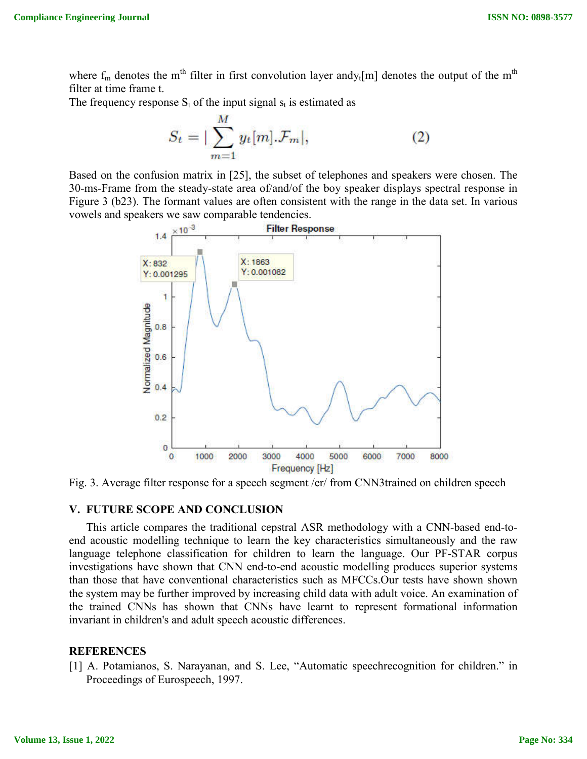where  $f_m$  denotes the m<sup>th</sup> filter in first convolution layer andy<sub>t</sub>[m] denotes the output of the m<sup>th</sup> filter at time frame t.

The frequency response  $S_t$  of the input signal  $s_t$  is estimated as

$$
S_t = |\sum_{m=1}^{M} y_t[m].\mathcal{F}_m|,\tag{2}
$$

Based on the confusion matrix in [25], the subset of telephones and speakers were chosen. The 30-ms-Frame from the steady-state area of/and/of the boy speaker displays spectral response in Figure 3 (b23). The formant values are often consistent with the range in the data set. In various vowels and speakers we saw comparable tendencies.



Fig. 3. Average filter response for a speech segment /er/ from CNN3trained on children speech

# **V. FUTURE SCOPE AND CONCLUSION**

This article compares the traditional cepstral ASR methodology with a CNN-based end-toend acoustic modelling technique to learn the key characteristics simultaneously and the raw language telephone classification for children to learn the language. Our PF-STAR corpus investigations have shown that CNN end-to-end acoustic modelling produces superior systems than those that have conventional characteristics such as MFCCs.Our tests have shown shown the system may be further improved by increasing child data with adult voice. An examination of the trained CNNs has shown that CNNs have learnt to represent formational information invariant in children's and adult speech acoustic differences.

## **REFERENCES**

[1] A. Potamianos, S. Narayanan, and S. Lee, "Automatic speechrecognition for children." in Proceedings of Eurospeech, 1997.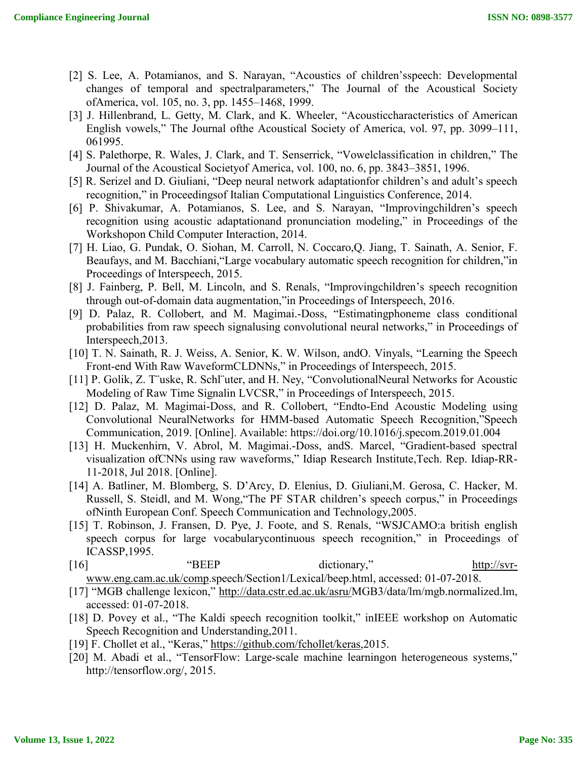- [2] S. Lee, A. Potamianos, and S. Narayan, "Acoustics of children's speech: Developmental changes of temporal and spectralparameters," The Journal of the Acoustical Society ofAmerica, vol. 105, no. 3, pp. 1455–1468, 1999.
- [3] J. Hillenbrand, L. Getty, M. Clark, and K. Wheeler, "Acousticcharacteristics of American English vowels," The Journal ofthe Acoustical Society of America, vol. 97, pp. 3099–111, 061995.
- [4] S. Palethorpe, R. Wales, J. Clark, and T. Senserrick, "Vowelclassification in children," The Journal of the Acoustical Societyof America, vol. 100, no. 6, pp. 3843–3851, 1996.
- [5] R. Serizel and D. Giuliani, "Deep neural network adaptationfor children's and adult's speech recognition," in Proceedingsof Italian Computational Linguistics Conference, 2014.
- [6] P. Shivakumar, A. Potamianos, S. Lee, and S. Narayan, "Improvingchildren's speech recognition using acoustic adaptationand pronunciation modeling," in Proceedings of the Workshopon Child Computer Interaction, 2014.
- [7] H. Liao, G. Pundak, O. Siohan, M. Carroll, N. Coccaro,Q. Jiang, T. Sainath, A. Senior, F. Beaufays, and M. Bacchiani,"Large vocabulary automatic speech recognition for children,"in Proceedings of Interspeech, 2015.
- [8] J. Fainberg, P. Bell, M. Lincoln, and S. Renals, "Improvingchildren's speech recognition through out-of-domain data augmentation,"in Proceedings of Interspeech, 2016.
- [9] D. Palaz, R. Collobert, and M. Magimai.-Doss, "Estimatingphoneme class conditional probabilities from raw speech signalusing convolutional neural networks," in Proceedings of Interspeech,2013.
- [10] T. N. Sainath, R. J. Weiss, A. Senior, K. W. Wilson, andO. Vinyals, "Learning the Speech Front-end With Raw WaveformCLDNNs," in Proceedings of Interspeech, 2015.
- [11] P. Golik, Z. T¨uske, R. Schl¨uter, and H. Ney, "ConvolutionalNeural Networks for Acoustic Modeling of Raw Time Signalin LVCSR," in Proceedings of Interspeech, 2015.
- [12] D. Palaz, M. Magimai-Doss, and R. Collobert, "Endto-End Acoustic Modeling using Convolutional NeuralNetworks for HMM-based Automatic Speech Recognition,"Speech Communication, 2019. [Online]. Available: https://doi.org/10.1016/j.specom.2019.01.004
- [13] H. Muckenhirn, V. Abrol, M. Magimai.-Doss, andS. Marcel, "Gradient-based spectral visualization ofCNNs using raw waveforms," Idiap Research Institute,Tech. Rep. Idiap-RR-11-2018, Jul 2018. [Online].
- [14] A. Batliner, M. Blomberg, S. D'Arcy, D. Elenius, D. Giuliani,M. Gerosa, C. Hacker, M. Russell, S. Steidl, and M. Wong,"The PF STAR children's speech corpus," in Proceedings ofNinth European Conf. Speech Communication and Technology,2005.
- [15] T. Robinson, J. Fransen, D. Pye, J. Foote, and S. Renals, "WSJCAMO:a british english speech corpus for large vocabularycontinuous speech recognition," in Proceedings of ICASSP,1995.
- [16] "BEEP dictionary," http://svrwww.eng.cam.ac.uk/comp.speech/Section1/Lexical/beep.html, accessed: 01-07-2018.
- [17] "MGB challenge lexicon," http://data.cstr.ed.ac.uk/asru/MGB3/data/lm/mgb.normalized.lm, accessed: 01-07-2018.
- [18] D. Povey et al., "The Kaldi speech recognition toolkit," in EEE workshop on Automatic Speech Recognition and Understanding,2011.
- [19] F. Chollet et al., "Keras," https://github.com/fchollet/keras,2015.
- [20] M. Abadi et al., "TensorFlow: Large-scale machine learningon heterogeneous systems," http://tensorflow.org/, 2015.